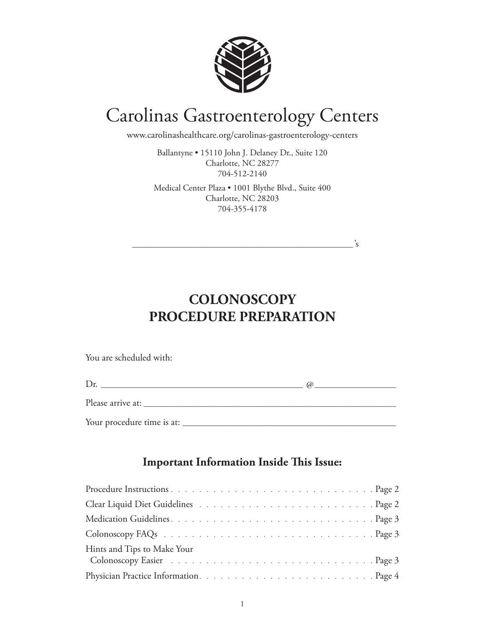

# Carolinas Gastroenterology Centers

www.carolinashealthcare.org/carolinas-gastroenterology-centers

Ballantyne • 15110 John J. Delaney Dr., Suite 120 Charlotte, NC 28277 704-512-2140

Medical Center Plaza • 1001 Blythe Blvd., Suite 400 Charlotte, NC 28203 704-355-4178

\_\_\_\_\_\_\_\_\_\_\_\_\_\_\_\_\_\_\_\_\_\_\_\_\_\_\_\_\_\_\_\_\_\_\_\_\_\_\_\_\_\_\_\_\_\_\_\_\_\_\_\_\_\_\_\_\_'s

**COLONOSCOPY PROCEDURE PREPARATION**

You are scheduled with:

|                            | (d) |
|----------------------------|-----|
| Please arrive at: _______  |     |
| Your procedure time is at: |     |

#### **Important Information Inside This Issue:**

| Hints and Tips to Make Your<br>Colonoscopy Easier (also contained a series of the contact of the contact of the contact of the contact of the |  |
|-----------------------------------------------------------------------------------------------------------------------------------------------|--|
|                                                                                                                                               |  |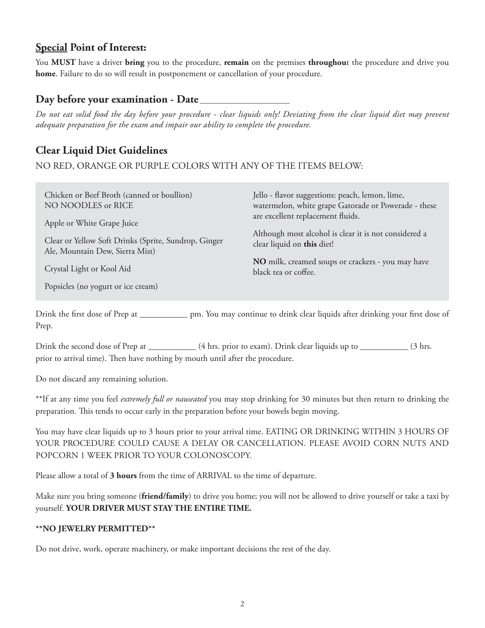## **Special Point of Interest:**

You **MUST** have a driver **bring** you to the procedure, **remain** on the premises **throughou**t the procedure and drive you **home**. Failure to do so will result in postponement or cancellation of your procedure.

#### **Day before your examination - Date \_\_\_\_\_\_\_\_\_\_\_\_\_\_\_\_\_\_\_\_\_\_\_**

*Do not eat solid food the day before your procedure - clear liquids only! Deviating from the clear liquid diet may prevent adequate preparation for the exam and impair our ability to complete the procedure.*

## **Clear Liquid Diet Guidelines**

NO RED, ORANGE OR PURPLE COLORS WITH ANY OF THE ITEMS BELOW:

| Chicken or Beef Broth (canned or boullion)<br>NO NOODLES or RICE                        | Jello - flavor suggestions: peach, lemon, lime,<br>watermelon, white grape Gatorade or Powerade - these |
|-----------------------------------------------------------------------------------------|---------------------------------------------------------------------------------------------------------|
| Apple or White Grape Juice                                                              | are excellent replacement fluids.                                                                       |
| Clear or Yellow Soft Drinks (Sprite, Sundrop, Ginger<br>Ale, Mountain Dew, Sierra Mist) | Although most alcohol is clear it is not considered a<br>clear liquid on this diet!                     |
| Crystal Light or Kool Aid                                                               | NO milk, creamed soups or crackers - you may have<br>black tea or coffee.                               |
| Popsicles (no yogurt or ice cream)                                                      |                                                                                                         |

Drink the first dose of Prep at \_\_\_\_\_\_\_\_\_\_\_ pm. You may continue to drink clear liquids after drinking your first dose of Prep.

Drink the second dose of Prep at \_\_\_\_\_\_\_\_\_\_\_\_ (4 hrs. prior to exam). Drink clear liquids up to \_\_\_\_\_\_\_\_\_\_ (3 hrs. prior to arrival time). Then have nothing by mouth until after the procedure.

Do not discard any remaining solution.

\*\*If at any time you feel *extremely full or nauseated* you may stop drinking for 30 minutes but then return to drinking the preparation. This tends to occur early in the preparation before your bowels begin moving.

You may have clear liquids up to 3 hours prior to your arrival time. EATING OR DRINKING WITHIN 3 HOURS OF YOUR PROCEDURE COULD CAUSE A DELAY OR CANCELLATION. Please avoid corn nuts and popcorn 1 week prior to your colonoscopy.

Please allow a total of **3 hours** from the time of ARRIVAL to the time of departure.

Make sure you bring someone (**friend/family**) to drive you home; you will not be allowed to drive yourself or take a taxi by yourself. **YOUR DRIVER MUST STAY THE ENTIRE TIME.**

#### **\*\*NO JEWELRY PERMITTED\*\***

Do not drive, work, operate machinery, or make important decisions the rest of the day.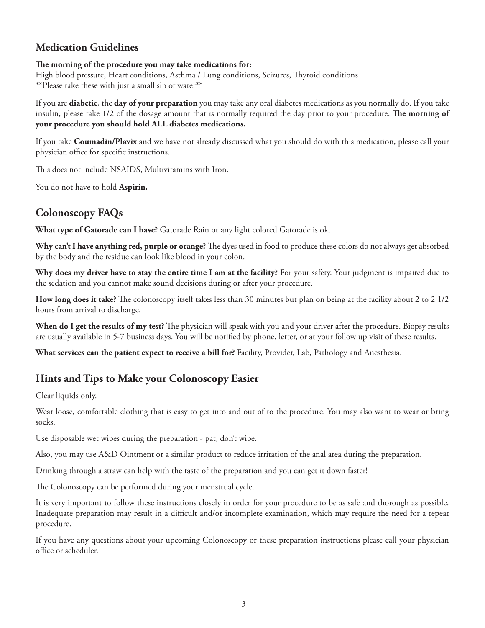#### **Medication Guidelines**

#### **The morning of the procedure you may take medications for:**

High blood pressure, Heart conditions, Asthma / Lung conditions, Seizures, Thyroid conditions \*\*Please take these with just a small sip of water\*\*

If you are **diabetic**, the **day of your preparation** you may take any oral diabetes medications as you normally do. If you take insulin, please take 1/2 of the dosage amount that is normally required the day prior to your procedure. **The morning of your procedure you should hold ALL diabetes medications.**

If you take **Coumadin/Plavix** and we have not already discussed what you should do with this medication, please call your physician office for specific instructions.

This does not include NSAIDS, Multivitamins with Iron.

You do not have to hold **Aspirin.**

# **Colonoscopy FAQs**

**What type of Gatorade can I have?** Gatorade Rain or any light colored Gatorade is ok.

**Why can't I have anything red, purple or orange?** The dyes used in food to produce these colors do not always get absorbed by the body and the residue can look like blood in your colon.

**Why does my driver have to stay the entire time I am at the facility?** For your safety. Your judgment is impaired due to the sedation and you cannot make sound decisions during or after your procedure.

**How long does it take?** The colonoscopy itself takes less than 30 minutes but plan on being at the facility about 2 to 2 1/2 hours from arrival to discharge.

**When do I get the results of my test?** The physician will speak with you and your driver after the procedure. Biopsy results are usually available in 5-7 business days. You will be notified by phone, letter, or at your follow up visit of these results.

**What services can the patient expect to receive a bill for?** Facility, Provider, Lab, Pathology and Anesthesia.

#### **Hints and Tips to Make your Colonoscopy Easier**

Clear liquids only.

Wear loose, comfortable clothing that is easy to get into and out of to the procedure. You may also want to wear or bring socks.

Use disposable wet wipes during the preparation - pat, don't wipe.

Also, you may use A&D Ointment or a similar product to reduce irritation of the anal area during the preparation.

Drinking through a straw can help with the taste of the preparation and you can get it down faster!

The Colonoscopy can be performed during your menstrual cycle.

It is very important to follow these instructions closely in order for your procedure to be as safe and thorough as possible. Inadequate preparation may result in a difficult and/or incomplete examination, which may require the need for a repeat procedure.

If you have any questions about your upcoming Colonoscopy or these preparation instructions please call your physician office or scheduler.